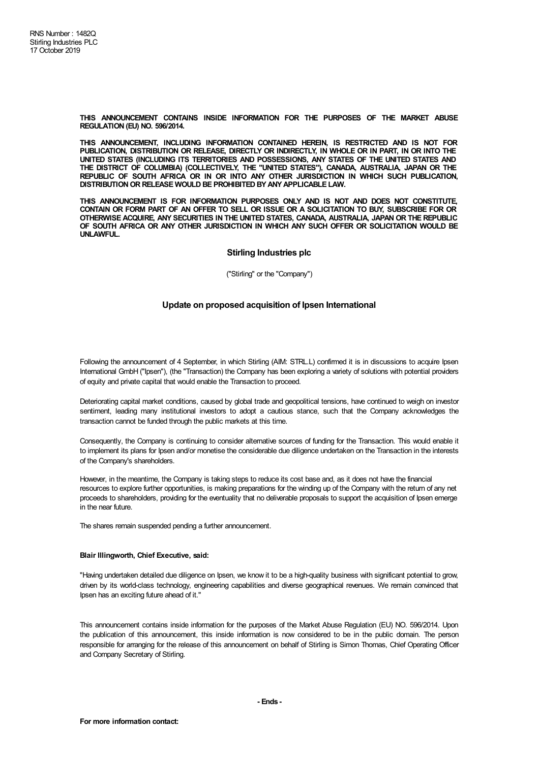**THIS ANNOUNCEMENT CONTAINS INSIDE INFORMATION FOR THE PURPOSES OF THE MARKET ABUSE REGULATION (EU) NO. 596/2014.**

**THIS ANNOUNCEMENT, INCLUDING INFORMATION CONTAINED HEREIN, IS RESTRICTED AND IS NOT FOR PUBLICATION, DISTRIBUTION OR RELEASE, DIRECTLY OR INDIRECTLY, IN WHOLE OR IN PART, IN OR INTO THE UNITED STATES (INCLUDING ITS TERRITORIES AND POSSESSIONS, ANY STATES OF THE UNITED STATES AND THE DISTRICT OF COLUMBIA) (COLLECTIVELY, THE "UNITED STATES"), CANADA, AUSTRALIA, JAPAN OR THE REPUBLIC OF SOUTH AFRICA OR IN OR INTO ANY OTHER JURISDICTION IN WHICH SUCH PUBLICATION, DISTRIBUTIONOR RELEASE WOULD BE PROHIBITED BYANYAPPLICABLE LAW.**

**THIS ANNOUNCEMENT IS FOR INFORMATION PURPOSES ONLY AND IS NOT AND DOES NOT CONSTITUTE,** CONTAIN OR FORM PART OF AN OFFER TO SELL OR ISSUE OR A SOLICITATION TO BUY, SUBSCRIBE FOR OR **OTHERWISE ACQUIRE, ANY SECURITIES IN THE UNITED STATES, CANADA, AUSTRALIA, JAPAN OR THE REPUBLIC OF SOUTH AFRICA OR ANY OTHER JURISDICTION IN WHICH ANY SUCH OFFER OR SOLICITATION WOULD BE UNLAWFUL.**

## **Stirling Industries plc**

("Stirling" or the "Company")

## **Update on proposed acquisition of Ipsen International**

Following the announcement of 4 September, in which Stirling (AIM: STRL.L) confirmed it is in discussions to acquire Ipsen International GmbH ("Ipsen"), (the "Transaction) the Company has been exploring a variety of solutions with potential providers of equity and private capital that would enable the Transaction to proceed.

Deteriorating capital market conditions, caused by global trade and geopolitical tensions, have continued to weigh on investor sentiment, leading many institutional investors to adopt a cautious stance, such that the Company acknowledges the transaction cannot be funded through the public markets at this time.

Consequently, the Company is continuing to consider alternative sources of funding for the Transaction. This would enable it to implement its plans for Ipsen and/or monetise the considerable due diligence undertaken on the Transaction in the interests of the Company's shareholders.

However, in the meantime, the Company is taking steps to reduce its cost base and, as it does not have the financial resources to explore further opportunities, is making preparations for the winding up of the Company with the return of any net proceeds to shareholders, providing for the eventuality that no deliverable proposals to support the acquisition of Ipsen emerge in the near future.

The shares remain suspended pending a further announcement.

## **Blair Illingworth, Chief Executive, said:**

"Having undertaken detailed due diligence on Ipsen, we know it to be a high-quality business with significant potential to grow, driven by its world-class technology, engineering capabilities and diverse geographical revenues. We remain convinced that Ipsen has an exciting future ahead of it."

This announcement contains inside information for the purposes of the Market Abuse Regulation (EU) NO. 596/2014. Upon the publication of this announcement, this inside information is now considered to be in the public domain. The person responsible for arranging for the release of this announcement on behalf of Stirling is Simon Thomas, Chief Operating Officer and Company Secretary of Stirling.